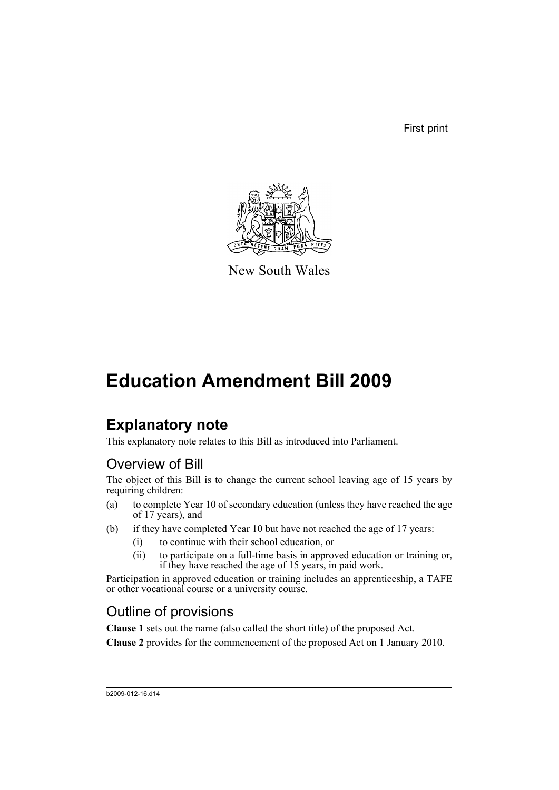First print



New South Wales

## **Education Amendment Bill 2009**

### **Explanatory note**

This explanatory note relates to this Bill as introduced into Parliament.

### Overview of Bill

The object of this Bill is to change the current school leaving age of 15 years by requiring children:

- (a) to complete Year 10 of secondary education (unless they have reached the age of 17 years), and
- (b) if they have completed Year 10 but have not reached the age of 17 years:
	- (i) to continue with their school education, or
	- (ii) to participate on a full-time basis in approved education or training or, if they have reached the age of 15 years, in paid work.

Participation in approved education or training includes an apprenticeship, a TAFE or other vocational course or a university course.

### Outline of provisions

**Clause 1** sets out the name (also called the short title) of the proposed Act.

**Clause 2** provides for the commencement of the proposed Act on 1 January 2010.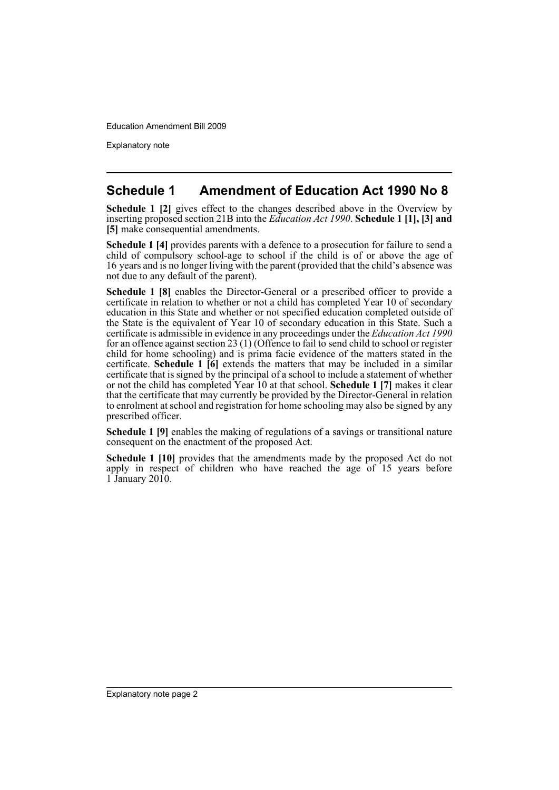Explanatory note

#### **Schedule 1 Amendment of Education Act 1990 No 8**

**Schedule 1 [2]** gives effect to the changes described above in the Overview by inserting proposed section 21B into the *Education Act 1990*. **Schedule 1 [1], [3] and [5]** make consequential amendments.

**Schedule 1 [4]** provides parents with a defence to a prosecution for failure to send a child of compulsory school-age to school if the child is of or above the age of 16 years and is no longer living with the parent (provided that the child's absence was not due to any default of the parent).

**Schedule 1 [8]** enables the Director-General or a prescribed officer to provide a certificate in relation to whether or not a child has completed Year 10 of secondary education in this State and whether or not specified education completed outside of the State is the equivalent of Year 10 of secondary education in this State. Such a certificate is admissible in evidence in any proceedings under the *Education Act 1990* for an offence against section 23 (1) (Offence to fail to send child to school or register child for home schooling) and is prima facie evidence of the matters stated in the certificate. **Schedule 1 [6]** extends the matters that may be included in a similar certificate that is signed by the principal of a school to include a statement of whether or not the child has completed Year 10 at that school. **Schedule 1 [7]** makes it clear that the certificate that may currently be provided by the Director-General in relation to enrolment at school and registration for home schooling may also be signed by any prescribed officer.

**Schedule 1 [9]** enables the making of regulations of a savings or transitional nature consequent on the enactment of the proposed Act.

**Schedule 1 [10]** provides that the amendments made by the proposed Act do not apply in respect of children who have reached the age of 15 years before  $1$  January 2010.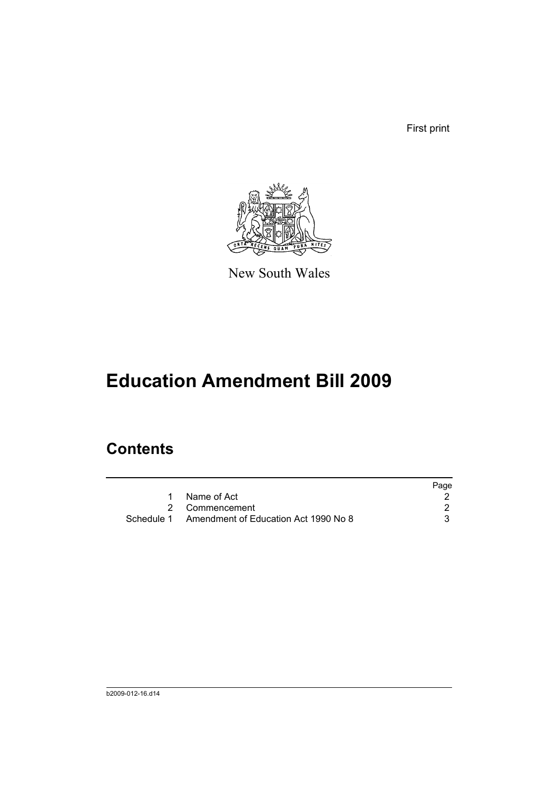First print



New South Wales

# **Education Amendment Bill 2009**

## **Contents**

|                                                 | Page |
|-------------------------------------------------|------|
| Name of Act                                     |      |
| 2 Commencement                                  |      |
| Schedule 1 Amendment of Education Act 1990 No 8 |      |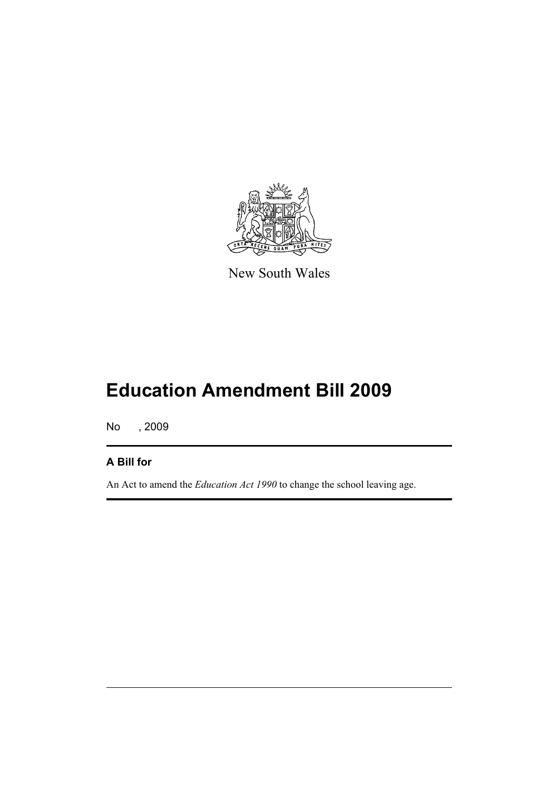

New South Wales

# **Education Amendment Bill 2009**

No , 2009

#### **A Bill for**

An Act to amend the *Education Act 1990* to change the school leaving age.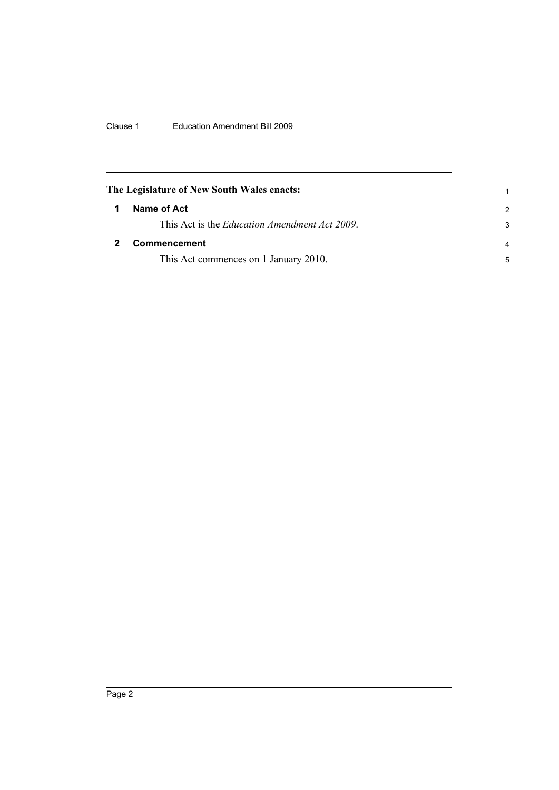<span id="page-5-1"></span><span id="page-5-0"></span>

| The Legislature of New South Wales enacts:            |               |
|-------------------------------------------------------|---------------|
| Name of Act                                           | $\mathcal{P}$ |
| This Act is the <i>Education Amendment Act 2009</i> . | 3             |
| <b>Commencement</b>                                   | 4             |
| This Act commences on 1 January 2010.                 | 5             |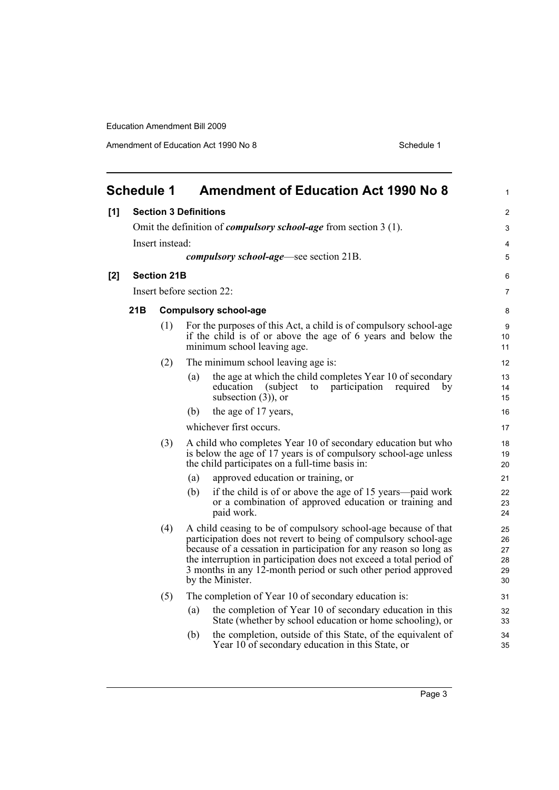<span id="page-6-0"></span>

|     | <b>Schedule 1</b> |                           | <b>Amendment of Education Act 1990 No 8</b>                                                                                                                                                                                                                                                                                                                        | 1                                |  |
|-----|-------------------|---------------------------|--------------------------------------------------------------------------------------------------------------------------------------------------------------------------------------------------------------------------------------------------------------------------------------------------------------------------------------------------------------------|----------------------------------|--|
| [1] |                   |                           | <b>Section 3 Definitions</b>                                                                                                                                                                                                                                                                                                                                       | $\overline{2}$                   |  |
|     |                   |                           | Omit the definition of <i>compulsory school-age</i> from section 3 (1).                                                                                                                                                                                                                                                                                            | 3                                |  |
|     |                   | Insert instead:           |                                                                                                                                                                                                                                                                                                                                                                    | 4                                |  |
|     |                   |                           | <i>compulsory school-age</i> —see section 21B.                                                                                                                                                                                                                                                                                                                     | 5                                |  |
| [2] |                   | <b>Section 21B</b>        |                                                                                                                                                                                                                                                                                                                                                                    | 6                                |  |
|     |                   | Insert before section 22: |                                                                                                                                                                                                                                                                                                                                                                    |                                  |  |
|     | 21B               |                           | <b>Compulsory school-age</b>                                                                                                                                                                                                                                                                                                                                       | 8                                |  |
|     |                   | (1)                       | For the purposes of this Act, a child is of compulsory school-age<br>if the child is of or above the age of 6 years and below the<br>minimum school leaving age.                                                                                                                                                                                                   | 9<br>10<br>11                    |  |
|     |                   | (2)                       | The minimum school leaving age is:                                                                                                                                                                                                                                                                                                                                 | 12                               |  |
|     |                   |                           | the age at which the child completes Year 10 of secondary<br>(a)<br>education<br>(subject)<br>participation<br>to<br>required<br>bv<br>subsection $(3)$ , or                                                                                                                                                                                                       | 13<br>14<br>15                   |  |
|     |                   |                           | the age of 17 years,<br>(b)                                                                                                                                                                                                                                                                                                                                        | 16                               |  |
|     |                   |                           | whichever first occurs.                                                                                                                                                                                                                                                                                                                                            | 17                               |  |
|     |                   | (3)                       | A child who completes Year 10 of secondary education but who<br>is below the age of 17 years is of compulsory school-age unless<br>the child participates on a full-time basis in:                                                                                                                                                                                 | 18<br>19<br>20                   |  |
|     |                   |                           | approved education or training, or<br>(a)                                                                                                                                                                                                                                                                                                                          | 21                               |  |
|     |                   |                           | if the child is of or above the age of 15 years—paid work<br>(b)<br>or a combination of approved education or training and<br>paid work.                                                                                                                                                                                                                           | 22<br>23<br>24                   |  |
|     |                   | (4)                       | A child ceasing to be of compulsory school-age because of that<br>participation does not revert to being of compulsory school-age<br>because of a cessation in participation for any reason so long as<br>the interruption in participation does not exceed a total period of<br>3 months in any 12-month period or such other period approved<br>by the Minister. | 25<br>26<br>27<br>28<br>29<br>30 |  |
|     |                   | (5)                       | The completion of Year 10 of secondary education is:                                                                                                                                                                                                                                                                                                               | 31                               |  |
|     |                   |                           | the completion of Year 10 of secondary education in this<br>(a)<br>State (whether by school education or home schooling), or                                                                                                                                                                                                                                       | 32<br>33                         |  |
|     |                   |                           | the completion, outside of this State, of the equivalent of<br>(b)<br>Year 10 of secondary education in this State, or                                                                                                                                                                                                                                             | 34<br>35                         |  |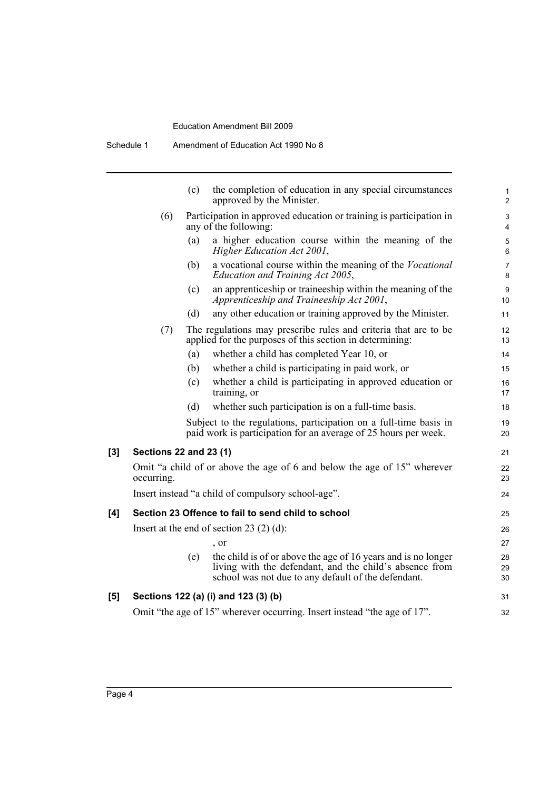|     |                                                                                                     | (c) | the completion of education in any special circumstances<br>approved by the Minister.                                                                                           | $\mathbf{1}$<br>$\overline{2}$ |
|-----|-----------------------------------------------------------------------------------------------------|-----|---------------------------------------------------------------------------------------------------------------------------------------------------------------------------------|--------------------------------|
|     | Participation in approved education or training is participation in<br>(6)<br>any of the following: |     |                                                                                                                                                                                 |                                |
|     |                                                                                                     | (a) | a higher education course within the meaning of the<br>Higher Education Act 2001,                                                                                               | 5<br>$\,6$                     |
|     |                                                                                                     | (b) | a vocational course within the meaning of the <i>Vocational</i><br>Education and Training Act 2005,                                                                             | 7<br>8                         |
|     |                                                                                                     | (c) | an apprenticeship or traineeship within the meaning of the<br>Apprenticeship and Traineeship Act 2001,                                                                          | $\boldsymbol{9}$<br>10         |
|     |                                                                                                     | (d) | any other education or training approved by the Minister.                                                                                                                       | 11                             |
|     | (7)                                                                                                 |     | The regulations may prescribe rules and criteria that are to be<br>applied for the purposes of this section in determining:                                                     | 12<br>13                       |
|     |                                                                                                     | (a) | whether a child has completed Year 10, or                                                                                                                                       | 14                             |
|     |                                                                                                     | (b) | whether a child is participating in paid work, or                                                                                                                               | 15                             |
|     |                                                                                                     | (c) | whether a child is participating in approved education or<br>training, or                                                                                                       | 16<br>17                       |
|     |                                                                                                     | (d) | whether such participation is on a full-time basis.                                                                                                                             | 18                             |
|     |                                                                                                     |     | Subject to the regulations, participation on a full-time basis in<br>paid work is participation for an average of 25 hours per week.                                            | 19<br>20                       |
| [3] | <b>Sections 22 and 23 (1)</b>                                                                       |     |                                                                                                                                                                                 | 21                             |
|     | occurring.                                                                                          |     | Omit "a child of or above the age of 6 and below the age of 15" wherever                                                                                                        | 22<br>23                       |
|     |                                                                                                     |     | Insert instead "a child of compulsory school-age".                                                                                                                              | 24                             |
| [4] |                                                                                                     |     | Section 23 Offence to fail to send child to school                                                                                                                              | 25                             |
|     |                                                                                                     |     | Insert at the end of section 23 $(2)$ (d):                                                                                                                                      | 26                             |
|     |                                                                                                     |     | , or                                                                                                                                                                            | 27                             |
|     |                                                                                                     | (e) | the child is of or above the age of 16 years and is no longer<br>living with the defendant, and the child's absence from<br>school was not due to any default of the defendant. | 28<br>29<br>30                 |
| [5] |                                                                                                     |     | Sections 122 (a) (i) and 123 (3) (b)                                                                                                                                            | 31                             |
|     |                                                                                                     |     | Omit "the age of 15" wherever occurring. Insert instead "the age of 17".                                                                                                        | 32                             |
|     |                                                                                                     |     |                                                                                                                                                                                 |                                |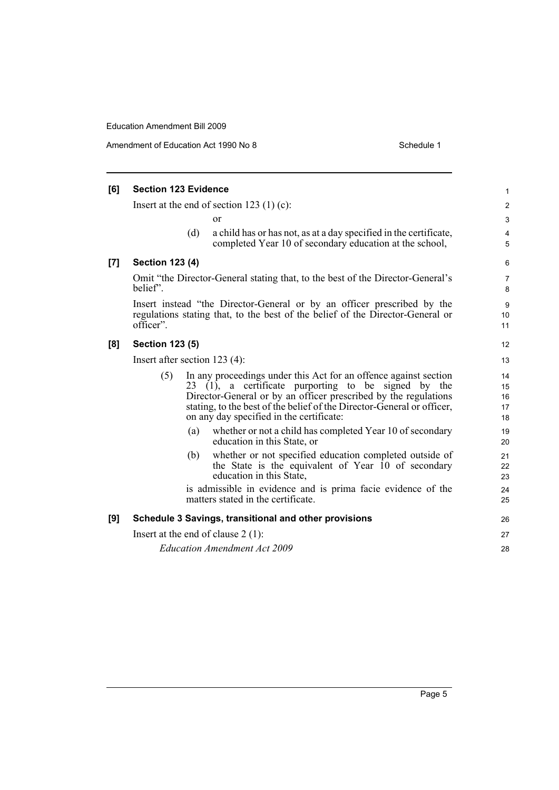Amendment of Education Act 1990 No 8 Schedule 1

| [6] | <b>Section 123 Evidence</b>                                                                                                                                            |     |                                                                                                                                                                                                                                                                                                                     |                            |
|-----|------------------------------------------------------------------------------------------------------------------------------------------------------------------------|-----|---------------------------------------------------------------------------------------------------------------------------------------------------------------------------------------------------------------------------------------------------------------------------------------------------------------------|----------------------------|
|     | Insert at the end of section 123 $(1)$ (c):                                                                                                                            |     |                                                                                                                                                                                                                                                                                                                     | $\overline{2}$             |
|     |                                                                                                                                                                        |     | or                                                                                                                                                                                                                                                                                                                  | $\mathsf 3$                |
|     |                                                                                                                                                                        | (d) | a child has or has not, as at a day specified in the certificate,<br>completed Year 10 of secondary education at the school,                                                                                                                                                                                        | $\overline{4}$<br>5        |
| [7] | <b>Section 123 (4)</b>                                                                                                                                                 |     |                                                                                                                                                                                                                                                                                                                     | 6                          |
|     | Omit "the Director-General stating that, to the best of the Director-General's<br>belief".                                                                             |     |                                                                                                                                                                                                                                                                                                                     | $\overline{7}$<br>8        |
|     | Insert instead "the Director-General or by an officer prescribed by the<br>regulations stating that, to the best of the belief of the Director-General or<br>officer". |     |                                                                                                                                                                                                                                                                                                                     | 9<br>10<br>11              |
| [8] | <b>Section 123 (5)</b>                                                                                                                                                 |     |                                                                                                                                                                                                                                                                                                                     | 12                         |
|     | Insert after section $123(4)$ :                                                                                                                                        |     |                                                                                                                                                                                                                                                                                                                     | 13                         |
|     | (5)                                                                                                                                                                    |     | In any proceedings under this Act for an offence against section<br>$23$ (1), a certificate purporting to be signed by the<br>Director-General or by an officer prescribed by the regulations<br>stating, to the best of the belief of the Director-General or officer,<br>on any day specified in the certificate: | 14<br>15<br>16<br>17<br>18 |
|     |                                                                                                                                                                        | (a) | whether or not a child has completed Year 10 of secondary<br>education in this State, or                                                                                                                                                                                                                            | 19<br>20                   |
|     |                                                                                                                                                                        | (b) | whether or not specified education completed outside of<br>the State is the equivalent of Year 10 of secondary<br>education in this State,                                                                                                                                                                          | 21<br>22<br>23             |
|     |                                                                                                                                                                        |     | is admissible in evidence and is prima facie evidence of the<br>matters stated in the certificate.                                                                                                                                                                                                                  | 24<br>25                   |
| [9] |                                                                                                                                                                        |     | Schedule 3 Savings, transitional and other provisions                                                                                                                                                                                                                                                               | 26                         |
|     | Insert at the end of clause $2(1)$ :                                                                                                                                   |     |                                                                                                                                                                                                                                                                                                                     | 27                         |
|     | <b>Education Amendment Act 2009</b>                                                                                                                                    |     |                                                                                                                                                                                                                                                                                                                     | 28                         |